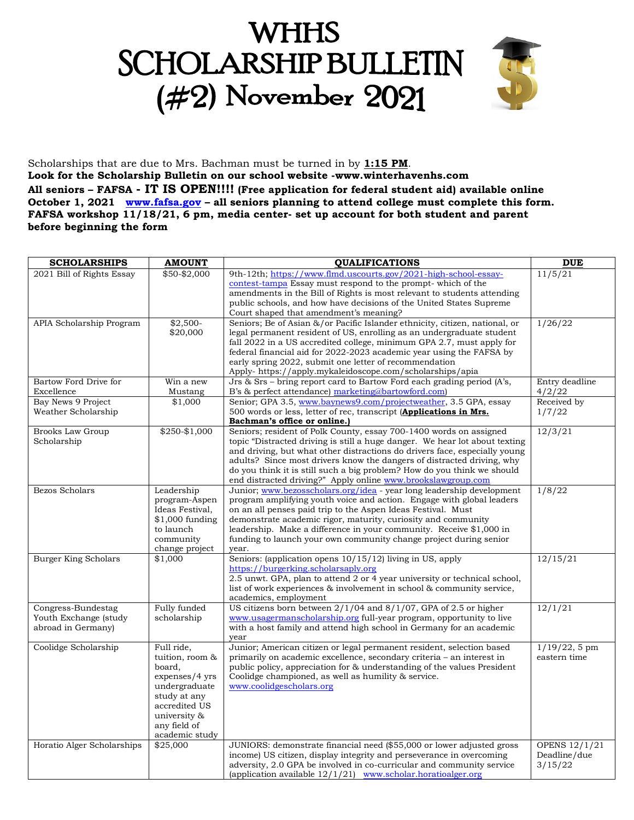# **WHHS SCHOLARSHIP BULLETIN**  $(#2)$  November 2021



Scholarships that are due to Mrs. Bachman must be turned in by **1:15 PM**. **Look for the Scholarship Bulletin on our school website -www.winterhavenhs.com All seniors – FAFSA - IT IS OPEN!!!! (Free application for federal student aid) available online October 1, 2021 [www.fafsa.gov](http://www.fafsa.gov/) – all seniors planning to attend college must complete this form. FAFSA workshop 11/18/21, 6 pm, media center- set up account for both student and parent before beginning the form**

| <b>SCHOLARSHIPS</b>         | <b>AMOUNT</b>                   | <b>QUALIFICATIONS</b>                                                                                                                             | <b>DUE</b>           |
|-----------------------------|---------------------------------|---------------------------------------------------------------------------------------------------------------------------------------------------|----------------------|
| 2021 Bill of Rights Essay   | \$50-\$2,000                    | 9th-12th; https://www.flmd.uscourts.gov/2021-high-school-essay-                                                                                   | 11/5/21              |
|                             |                                 | contest-tampa Essay must respond to the prompt- which of the                                                                                      |                      |
|                             |                                 | amendments in the Bill of Rights is most relevant to students attending                                                                           |                      |
|                             |                                 | public schools, and how have decisions of the United States Supreme                                                                               |                      |
|                             |                                 | Court shaped that amendment's meaning?                                                                                                            |                      |
| APIA Scholarship Program    | $$2,500-$                       | Seniors; Be of Asian &/or Pacific Islander ethnicity, citizen, national, or                                                                       | 1/26/22              |
|                             | \$20,000                        | legal permanent resident of US, enrolling as an undergraduate student<br>fall 2022 in a US accredited college, minimum GPA 2.7, must apply for    |                      |
|                             |                                 | federal financial aid for 2022-2023 academic year using the FAFSA by                                                                              |                      |
|                             |                                 | early spring 2022, submit one letter of recommendation                                                                                            |                      |
|                             |                                 | Apply- https://apply.mykaleidoscope.com/scholarships/apia                                                                                         |                      |
| Bartow Ford Drive for       | Win a new                       | Jrs & Srs – bring report card to Bartow Ford each grading period $(A\ddot{\circ},$                                                                | Entry deadline       |
| Excellence                  | Mustang                         | B's & perfect attendance) marketing@bartowford.com)                                                                                               | 4/2/22               |
| Bay News 9 Project          | \$1,000                         | Senior; GPA 3.5, www.baynews9.com/projectweather, 3.5 GPA, essay                                                                                  | Received by          |
| Weather Scholarship         |                                 | 500 words or less, letter of rec, transcript (Applications in Mrs.                                                                                | 1/7/22               |
|                             |                                 | Bachman's office or online.)                                                                                                                      |                      |
| <b>Brooks Law Group</b>     | $$250 - $1,000$                 | Seniors; resident of Polk County, essay 700-1400 words on assigned                                                                                | 12/3/21              |
| Scholarship                 |                                 | topic "Distracted driving is still a huge danger. We hear lot about texting                                                                       |                      |
|                             |                                 | and driving, but what other distractions do drivers face, especially young                                                                        |                      |
|                             |                                 | adults? Since most drivers know the dangers of distracted driving, why<br>do you think it is still such a big problem? How do you think we should |                      |
|                             |                                 | end distracted driving?" Apply online www.brookslawgroup.com                                                                                      |                      |
| Bezos Scholars              | Leadership                      | Junior; www.bezosscholars.org/idea - year long leadership development                                                                             | 1/8/22               |
|                             | program-Aspen                   | program amplifying youth voice and action. Engage with global leaders                                                                             |                      |
|                             | Ideas Festival,                 | on an all penses paid trip to the Aspen Ideas Festival. Must                                                                                      |                      |
|                             | \$1,000 funding                 | demonstrate academic rigor, maturity, curiosity and community                                                                                     |                      |
|                             | to launch                       | leadership. Make a difference in your community. Receive \$1,000 in                                                                               |                      |
|                             | community                       | funding to launch your own community change project during senior                                                                                 |                      |
|                             | change project                  | vear.                                                                                                                                             |                      |
| <b>Burger King Scholars</b> | \$1,000                         | Seniors: (application opens $10/15/12$ ) living in US, apply                                                                                      | 12/15/21             |
|                             |                                 | https://burgerking.scholarsaply.org<br>2.5 unwt. GPA, plan to attend 2 or 4 year university or technical school,                                  |                      |
|                             |                                 | list of work experiences & involvement in school & community service,                                                                             |                      |
|                             |                                 | academics, employment                                                                                                                             |                      |
| Congress-Bundestag          | Fully funded                    | US citizens born between $2/1/04$ and $8/1/07$ , GPA of 2.5 or higher                                                                             | 12/1/21              |
| Youth Exchange (study       | scholarship                     | www.usagermanscholarship.org full-year program, opportunity to live                                                                               |                      |
| abroad in Germany)          |                                 | with a host family and attend high school in Germany for an academic                                                                              |                      |
|                             |                                 | year                                                                                                                                              |                      |
| Coolidge Scholarship        | Full ride,                      | Junior; American citizen or legal permanent resident, selection based                                                                             | $1/19/22, 5$ pm      |
|                             | tuition, room &                 | primarily on academic excellence, secondary criteria – an interest in                                                                             | eastern time         |
|                             | board,                          | public policy, appreciation for & understanding of the values President                                                                           |                      |
|                             | expenses/4 yrs<br>undergraduate | Coolidge championed, as well as humility & service.<br>www.coolidgescholars.org                                                                   |                      |
|                             | study at any                    |                                                                                                                                                   |                      |
|                             | accredited US                   |                                                                                                                                                   |                      |
|                             | university &                    |                                                                                                                                                   |                      |
|                             | any field of                    |                                                                                                                                                   |                      |
|                             | academic study                  |                                                                                                                                                   |                      |
| Horatio Alger Scholarships  | \$25,000                        | JUNIORS: demonstrate financial need (\$55,000 or lower adjusted gross                                                                             | <b>OPENS 12/1/21</b> |
|                             |                                 | income) US citizen, display integrity and perseverance in overcoming                                                                              | Deadline/due         |
|                             |                                 | adversity, 2.0 GPA be involved in co-curricular and community service                                                                             | 3/15/22              |
|                             |                                 | (application available $12/1/21$ ) www.scholar.horationlger.org                                                                                   |                      |